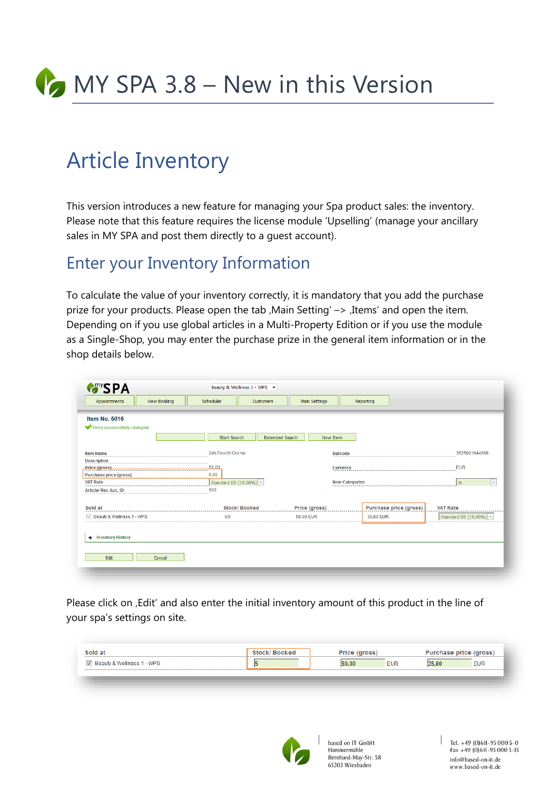

# Article Inventory

This version introduces a new feature for managing your Spa product sales: the inventory. Please note that this feature requires the license module 'Upselling' (manage your ancillary sales in MY SPA and post them directly to a guest account).

#### Enter your Inventory Information

To calculate the value of your inventory correctly, it is mandatory that you add the purchase prize for your products. Please open the tab , Main Setting'  $\rightarrow$  , Items' and open the item. Depending on if you use global articles in a Multi-Property Edition or if you use the module as a Single-Shop, you may enter the purchase prize in the general item information or in the shop details below.

| Appointments                                          | New Booking | Scheduler           | <b>Customers</b>       |                        | Main Settings          | Reporting                     |                         |
|-------------------------------------------------------|-------------|---------------------|------------------------|------------------------|------------------------|-------------------------------|-------------------------|
| <b>Item No. 5016</b>                                  |             |                     |                        |                        |                        |                               |                         |
| Entry successfully changed.                           |             |                     |                        |                        |                        |                               |                         |
|                                                       |             | <b>Start Search</b> |                        | <b>Extended Search</b> | <b>New Item</b>        |                               |                         |
| <b>Item Name</b>                                      |             | 24h Feucht-Creme    |                        |                        | <b>Barcode</b>         |                               | 3525801644668           |
| <b>Description</b>                                    |             |                     |                        |                        |                        |                               |                         |
| <b>Price (gross)</b><br><b>Purchase price (gross)</b> |             | 50.00<br>0,00       |                        |                        | <b>Currency</b>        |                               | <b>EUR</b>              |
| <b>VAT Rate</b>                                       |             |                     | Standard DE (19.00%) - |                        | <b>Item Categories</b> |                               | th.                     |
| Article/Rev. Acc. ID                                  |             | 902                 |                        |                        |                        |                               |                         |
| Sold at                                               |             |                     | <b>Stock/Booked</b>    |                        | Price (gross)          | <b>Purchase price (gross)</b> | <b>VAT Rate</b>         |
| Beauty & Wellness 1 - WPS                             |             | 5/0                 |                        | 50.00 EUR              |                        | 35,80 EUR                     | Standard DE $(19.00\%)$ |
|                                                       |             |                     |                        |                        |                        |                               |                         |
| <b>Inventory History</b><br>÷.                        |             |                     |                        |                        |                        |                               |                         |
|                                                       |             |                     |                        |                        |                        |                               |                         |

Please click on , Edit' and also enter the initial inventory amount of this product in the line of your spa's settings on site.

|                                                           | Purchase price (gross) |
|-----------------------------------------------------------|------------------------|
| Beauty & Wellness 1 - WPS<br><b>EUR</b><br>50.00<br>35.80 | <b>EUR</b>             |
|                                                           |                        |



based on IT GmbH Hammermühle Hammermunie<br>Bernhard-May-Str. 58 65203 Wiesbaden

 $\vert$  Tel. +49 (0) 611 - 95 000 5 - 0 Fax +49 (0)611-95 000 5-15 info@based-on-it.de www.based-on-it.de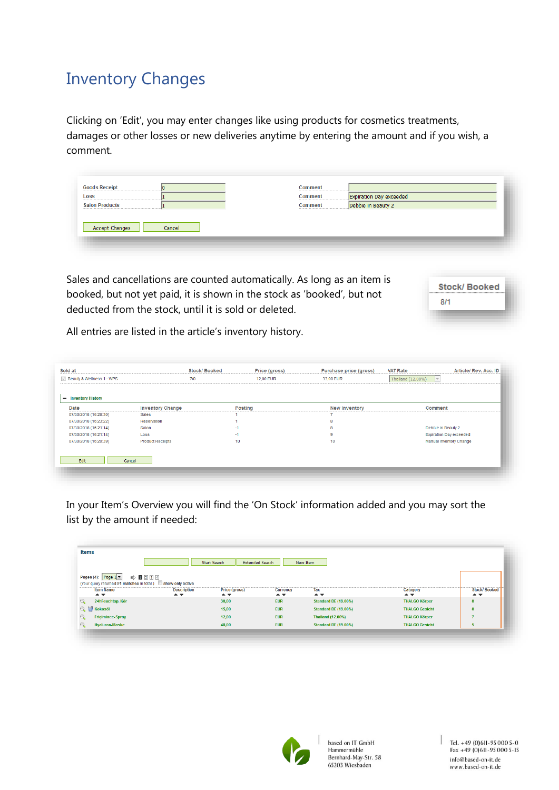## Inventory Changes

Clicking on 'Edit', you may enter changes like using products for cosmetics treatments, damages or other losses or new deliveries anytime by entering the amount and if you wish, a comment.

|                                                               | Loss | Expiration Day exceeded<br>Comment |  |
|---------------------------------------------------------------|------|------------------------------------|--|
| Debbie in Beauty 2<br><b>Salon Products</b><br><b>Comment</b> |      |                                    |  |

Sales and cancellations are counted automatically. As long as an item is booked, but not yet paid, it is shown in the stock as 'booked', but not deducted from the stock, until it is sold or deleted.

|     | Stock/Booked |
|-----|--------------|
| 8/1 |              |
|     |              |

All entries are listed in the article's inventory history.

| Beauty & Wellness 1 - WPS                            |                         | 7/0              | 12,00 EUR      | 33,00 EUR            | Thailand (12.00%)<br>$\mathcal{A}$ |
|------------------------------------------------------|-------------------------|------------------|----------------|----------------------|------------------------------------|
|                                                      |                         |                  |                |                      |                                    |
| <b>Inventory History</b><br>$\overline{\phantom{0}}$ |                         |                  |                |                      |                                    |
| Date                                                 | <b>Inventory Change</b> |                  | <b>Posting</b> | <b>New Inventory</b> | <b>Comment</b>                     |
| 07/30/2018 (16:28:30)                                | Sales                   |                  |                |                      |                                    |
| 07/30/2018 (16:23:22)                                | Reservation             |                  |                |                      |                                    |
| 07/30/2018 (16:21:14)                                | Salon                   | $-1$             |                |                      | Debbie in Beauty 2                 |
| 07/30/2018 (16:21:14)                                | Loss                    | $-1$             |                |                      | <b>Expiration Day exceeded</b>     |
| 07/30/2018 (16:20:39)                                | <b>Product Receipts</b> | 10 <sup>10</sup> |                | 10 <sup>°</sup>      | Manual Inventory Change            |
|                                                      |                         |                  |                |                      |                                    |
|                                                      |                         |                  |                |                      |                                    |
| Edit                                                 | Cancel                  |                  |                |                      |                                    |

In your Item's Overview you will find the 'On Stock' information added and you may sort the list by the amount if needed:

| <b>Items</b>                                                                                                                                                          |                                                           |                                                      |                                                        |                                            |                                                 |                                                            |
|-----------------------------------------------------------------------------------------------------------------------------------------------------------------------|-----------------------------------------------------------|------------------------------------------------------|--------------------------------------------------------|--------------------------------------------|-------------------------------------------------|------------------------------------------------------------|
|                                                                                                                                                                       |                                                           | Start Search<br><b>Extended Search</b>               |                                                        | New Item                                   |                                                 |                                                            |
| $\Rightarrow$ 1234<br>Pages (4): Page $1 -$<br>(Your query returned 91 matches in total.) Show only active<br><b>Item Name</b><br>$\triangle$ $\overline{\mathbf{v}}$ | <b>Description</b><br>$\triangle$ $\overline{\mathbf{v}}$ | Price (gross)<br>$\triangle$ $\overline{\mathbf{v}}$ | <b>Currency</b><br>$\triangle$ $\overline{\mathbf{v}}$ | Tax<br>$\triangle$ $\overline{\mathbf{v}}$ | Category<br>$\triangle$ $\overline{\mathbf{v}}$ | <b>Stock/Booked</b><br>$\triangle$ $\overline{\mathbf{v}}$ |
| 24hFeuchtsp. Kör                                                                                                                                                      |                                                           | 38.00                                                | <b>EUR</b>                                             | <b>Standard DE (19.00%)</b>                | <b>THALGO Körper</b>                            | 8                                                          |
| <b>C</b> Kokosöl                                                                                                                                                      |                                                           | 15,00                                                | <b>EUR</b>                                             | <b>Standard DE (19.00%)</b>                | <b>THALGO Gesicht</b>                           | 8                                                          |
| <b>Frigimince-Spray</b>                                                                                                                                               |                                                           | 12,00                                                | <b>EUR</b>                                             | <b>Thailand (12.00%)</b>                   | <b>THALGO Körper</b>                            |                                                            |
| <b>Hyaluron-Maske</b>                                                                                                                                                 |                                                           | 48,00                                                | <b>EUR</b>                                             | <b>Standard DE (19.00%)</b>                | <b>THALGO Gesicht</b>                           | 5.                                                         |



based on IT GmbH Hammermühle<br>Hammermühle<br>Bernhard-May-Str. 58 65203 Wiesbaden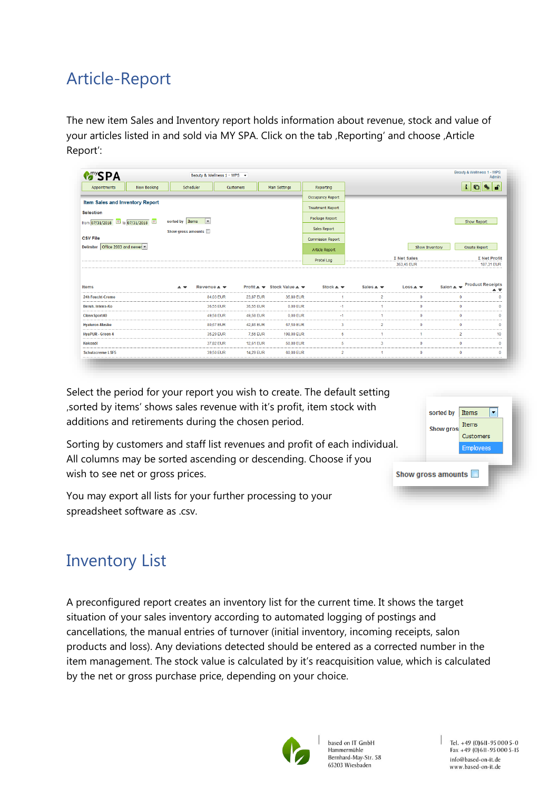## Article-Report

The new item Sales and Inventory report holds information about revenue, stock and value of your articles listed in and sold via MY SPA. Click on the tab , Reporting' and choose , Article Report':

| <b>MASPA</b>                                                                                                                               |             |                                                                     | Beauty & Wellness 1 - WPS - |                                                              |                            |                            |                     |                | Beauty & Wellness 1 - WPS<br>Admin                                                                                                                                                                        |
|--------------------------------------------------------------------------------------------------------------------------------------------|-------------|---------------------------------------------------------------------|-----------------------------|--------------------------------------------------------------|----------------------------|----------------------------|---------------------|----------------|-----------------------------------------------------------------------------------------------------------------------------------------------------------------------------------------------------------|
| Appointments                                                                                                                               | New Booking | Scheduler                                                           | Customers                   | <b>Main Settings</b>                                         | Reporting                  |                            |                     |                | $\mathbf{q}_\mathrm{b}$<br>÷<br><b>d</b><br>$\mathbf G$                                                                                                                                                   |
|                                                                                                                                            |             |                                                                     |                             |                                                              | <b>Occupancy Report</b>    |                            |                     |                |                                                                                                                                                                                                           |
| Item Sales and Inventory Report                                                                                                            |             |                                                                     |                             |                                                              | <b>Treatment Report</b>    |                            |                     |                |                                                                                                                                                                                                           |
| <b>Selection</b>                                                                                                                           |             | $\mathbf{r}$<br>sorted by   Items                                   |                             |                                                              | Package Report             |                            |                     |                | <b>Show Report</b>                                                                                                                                                                                        |
| from 07/31/2018 iii to 07/31/2018                                                                                                          |             | Show gross amounts                                                  |                             |                                                              | Sales Report               |                            |                     |                |                                                                                                                                                                                                           |
| <b>CSV File</b>                                                                                                                            |             |                                                                     |                             |                                                              | <b>Commission Report</b>   |                            |                     |                |                                                                                                                                                                                                           |
| Office 2003 and newer<br><b>Delimiter</b>                                                                                                  |             |                                                                     |                             |                                                              | Article Report             |                            |                     | Show Inventory | Create Export                                                                                                                                                                                             |
|                                                                                                                                            |             |                                                                     |                             |                                                              | Protel Log                 |                            | $\Sigma$ Net Sales  |                | $\Sigma$ Net Profit                                                                                                                                                                                       |
|                                                                                                                                            |             |                                                                     |                             |                                                              |                            |                            | 363.45 EUR          |                |                                                                                                                                                                                                           |
|                                                                                                                                            |             | Revenue $\triangle$ $\equiv$<br>$\triangle$ $\overline{\mathbf{v}}$ |                             | Profit $\triangle$ $\equiv$ Stock Value $\triangle$ $\equiv$ | Stock $\triangle$ $\equiv$ | Sales $\triangle$ $\equiv$ | $Loss - \nabla$     |                |                                                                                                                                                                                                           |
|                                                                                                                                            |             |                                                                     | 84,03 EUR<br>23,87 EUR      | 35,80 EUR                                                    | $\blacktriangleleft$       | $\overline{a}$             | $\ddot{\mathbf{0}}$ | $\mathbf 0$    |                                                                                                                                                                                                           |
|                                                                                                                                            |             |                                                                     | 36,55 EUR<br>36,55 EUR      | 0.00 EUR                                                     | $-1$                       | 1                          | $\mathbf{0}$        | $\mathbf{0}$   |                                                                                                                                                                                                           |
|                                                                                                                                            |             |                                                                     | 49.58 EUR<br>49.58 EUR      | 0.00 EUR                                                     | $-1$                       | 1                          | $\overline{0}$      | $\mathbf 0$    |                                                                                                                                                                                                           |
|                                                                                                                                            |             |                                                                     | 80.67 EUR<br>42.86 EUR      | 67.50 EUR                                                    | $\overline{\mathbf{3}}$    | $\overline{2}$             | $\ddot{\mathbf{0}}$ | $\bullet$      |                                                                                                                                                                                                           |
|                                                                                                                                            |             |                                                                     | 35,29 EUR<br>7,56 EUR       | 198,00 EUR                                                   | 6                          | 1                          | 1                   | $\overline{2}$ |                                                                                                                                                                                                           |
| Items<br>24h Feucht-Creme<br>Beruh, Intens-Ko<br><b>ClassSport40</b><br><b>Hyaluron-Maske</b><br><b>HyaPUR</b> - Green 4<br><b>Kokosöl</b> |             |                                                                     | 37,82 EUR<br>12.61 EUR      | 50.00 EUR                                                    | 5                          | 3                          | $\overline{0}$      | $\mathbf 0$    | 187.31 EUR<br>Salon $\triangleq$ $\overline{\mathbf{v}}$ Product Receipts<br>$\triangle$ $\overline{\overline{\overline{}}}$<br>$\Omega$<br>$\mathbf{0}$<br>$\mathbf 0$<br>$\bullet$<br>10<br>$\mathbf 0$ |

Select the period for your report you wish to create. The default setting 'sorted by items' shows sales revenue with it's profit, item stock with additions and retirements during the chosen period.

Sorting by customers and staff list revenues and profit of each individual. All columns may be sorted ascending or descending. Choose if you wish to see net or gross prices.



You may export all lists for your further processing to your spreadsheet software as .csv.

## Inventory List

A preconfigured report creates an inventory list for the current time. It shows the target situation of your sales inventory according to automated logging of postings and cancellations, the manual entries of turnover (initial inventory, incoming receipts, salon products and loss). Any deviations detected should be entered as a corrected number in the item management. The stock value is calculated by it's reacquisition value, which is calculated by the net or gross purchase price, depending on your choice.



based on IT GmbH Hammermühle Bernhard-May-Str. 58 65203 Wiesbaden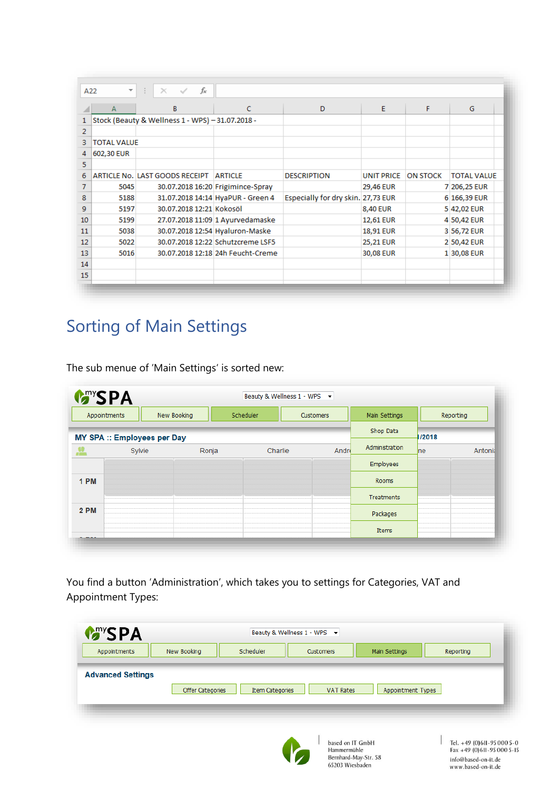|                | А                  | B                                                | C                                 | D                                  | E                 | F               | G                  |
|----------------|--------------------|--------------------------------------------------|-----------------------------------|------------------------------------|-------------------|-----------------|--------------------|
| $\mathbf{1}$   |                    | Stock (Beauty & Wellness 1 - WPS) - 31.07.2018 - |                                   |                                    |                   |                 |                    |
| $\overline{2}$ |                    |                                                  |                                   |                                    |                   |                 |                    |
| з              | <b>TOTAL VALUE</b> |                                                  |                                   |                                    |                   |                 |                    |
| 4              | 602,30 EUR         |                                                  |                                   |                                    |                   |                 |                    |
| 5.             |                    |                                                  |                                   |                                    |                   |                 |                    |
| 6              |                    | ARTICLE No. LAST GOODS RECEIPT                   | <b>ARTICLE</b>                    | <b>DESCRIPTION</b>                 | <b>UNIT PRICE</b> | <b>ON STOCK</b> | <b>TOTAL VALUE</b> |
| 7              | 5045               |                                                  | 30.07.2018 16:20 Frigimince-Spray |                                    | 29,46 EUR         |                 | 7 206,25 EUR       |
| 8              | 5188               |                                                  | 31.07.2018 14:14 HyaPUR - Green 4 | Especially for dry skin. 27,73 EUR |                   |                 | 6 166,39 EUR       |
| 9              | 5197               | 30.07.2018 12:21 Kokosöl                         |                                   |                                    | <b>8,40 EUR</b>   |                 | 5 42,02 EUR        |
| 10             | 5199               |                                                  | 27.07.2018 11:09 1 Ayurvedamaske  |                                    | 12,61 EUR         |                 | 4 50,42 EUR        |
| 11             | 5038               |                                                  | 30.07.2018 12:54 Hyaluron-Maske   |                                    | 18,91 EUR         |                 | 3 56,72 EUR        |
| 12             | 5022               |                                                  | 30.07.2018 12:22 Schutzcreme LSF5 |                                    | 25,21 EUR         |                 | 2 50,42 EUR        |
| 13             | 5016               |                                                  | 30.07.2018 12:18 24h Feucht-Creme |                                    | 30,08 EUR         |                 | 1 30,08 EUR        |
| 14             |                    |                                                  |                                   |                                    |                   |                 |                    |
| 15             |                    |                                                  |                                   |                                    |                   |                 |                    |

## Sorting of Main Settings

The sub menue of 'Main Settings' is sorted new:

| Appointments |                                    | New Booking | Scheduler | <b>Customers</b> |       | Main Settings  | Reporting |         |
|--------------|------------------------------------|-------------|-----------|------------------|-------|----------------|-----------|---------|
|              | <b>MY SPA :: Employees per Day</b> |             |           |                  |       | Shop Data      | 1/2018    |         |
| 薀            | Sylvie                             | Ronja       |           | Charlie          | Andre | Administration | $n_e$     | Antonia |
|              |                                    |             |           |                  |       | Employees      |           |         |
| 1 PM         |                                    |             |           |                  |       | Rooms          |           |         |
|              |                                    |             |           |                  |       | Treatments     |           |         |
| <b>2 PM</b>  |                                    |             |           |                  |       | Packages       |           |         |
|              |                                    |             |           |                  |       | Items          |           |         |

You find a button 'Administration', which takes you to settings for Categories, VAT and Appointment Types:

| <b>MARYSPA</b><br>Appointments | New Booking      | Scheduler              | Customers        | Main Settings     | Reporting |
|--------------------------------|------------------|------------------------|------------------|-------------------|-----------|
|                                |                  |                        |                  |                   |           |
| <b>Advanced Settings</b>       |                  |                        |                  |                   |           |
|                                | Offer Categories | <b>Item Categories</b> | <b>VAT Rates</b> | Appointment Types |           |
|                                |                  |                        |                  |                   |           |
|                                |                  |                        |                  |                   |           |



ased on IT GmbH Basco of TT Glibri<br>Hammermühle<br>Bernhard-May-Str. 58<br>65203 Wiesbaden Tel. +49 (0)611-95 000 5-0<br>Fax +49 (0)611-95 000 5-15 info@based-on-it.de www.based-on-it.de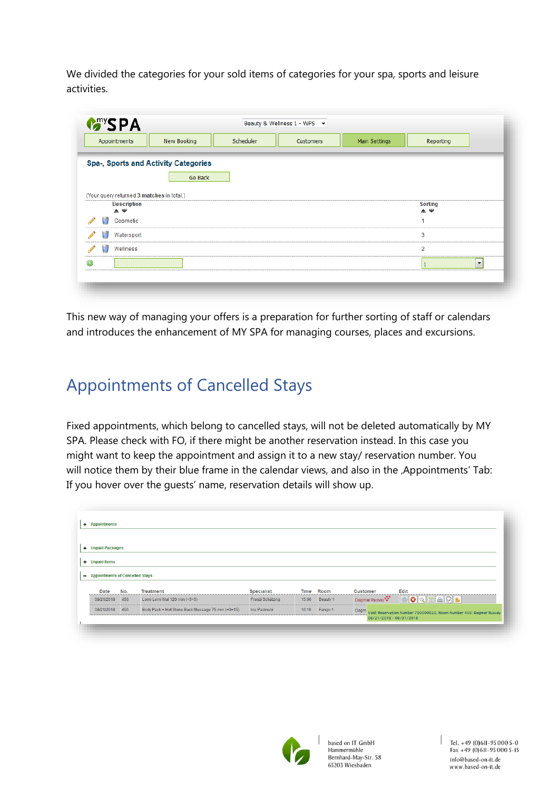We divided the categories for your sold items of categories for your spa, sports and leisure activities.

| Appointments                                              | New Booking                          | Scheduler | Customers | Main Settings | Reporting            |                          |
|-----------------------------------------------------------|--------------------------------------|-----------|-----------|---------------|----------------------|--------------------------|
|                                                           | Spa-, Sports and Activity Categories |           |           |               |                      |                          |
|                                                           | Go Back                              |           |           |               |                      |                          |
| (Your query returned 3 matches in total.)                 |                                      |           |           |               |                      |                          |
| <b>Description</b><br>$\triangle$ $\overline{\mathbf{v}}$ |                                      |           |           |               | <b>Sorting</b><br>▲▼ |                          |
| Cosmetic                                                  |                                      |           |           |               |                      |                          |
| Watersport                                                |                                      |           |           |               | 3                    |                          |
| Wellness                                                  |                                      |           |           |               | 2                    |                          |
|                                                           |                                      |           |           |               |                      | $\overline{\phantom{a}}$ |

This new way of managing your offers is a preparation for further sorting of staff or calendars and introduces the enhancement of MY SPA for managing courses, places and excursions.

#### Appointments of Cancelled Stays

Fixed appointments, which belong to cancelled stays, will not be deleted automatically by MY SPA. Please check with FO, if there might be another reservation instead. In this case you might want to keep the appointment and assign it to a new stay/ reservation number. You will notice them by their blue frame in the calendar views, and also in the ,Appointments' Tab: If you hover over the guests' name, reservation details will show up.

| + Unpaid Packages                 |     |                                                   |                      |       |          |                 |               |                                                                                   |
|-----------------------------------|-----|---------------------------------------------------|----------------------|-------|----------|-----------------|---------------|-----------------------------------------------------------------------------------|
|                                   |     |                                                   |                      |       |          |                 |               |                                                                                   |
| + Unpaid Items                    |     |                                                   |                      |       |          |                 |               |                                                                                   |
|                                   |     |                                                   |                      |       |          |                 |               |                                                                                   |
| - Appointments of Cancelled Stays |     |                                                   |                      |       |          |                 |               |                                                                                   |
| Date                              | No. | <b>Treatment</b>                                  | <b>Specialist</b>    | Time  | Room     | <b>Customer</b> |               | Edit                                                                              |
| 08/21/2018                        | 456 | Lomi Lomi Nui 120 min (+5+5)                      | Franzi Schätzing     | 15:00 | Beauty 1 |                 | Dagmar Rusvay | $\mathbb{R}$                                                                      |
| 08/21/2018                        | 456 | Body Pack + Hot Stone Back Massage 75 min (+0+15) | <b>Iris Padinski</b> | 16:10 | Fango 1  |                 |               | OQFARB<br>Dagm Void: Reservation Number 700000020, Room Number 456: Dagmar Rusvay |



based on IT GmbH Hammermühle<br>Bernhard-May-Str. 58 65203 Wiesbaden